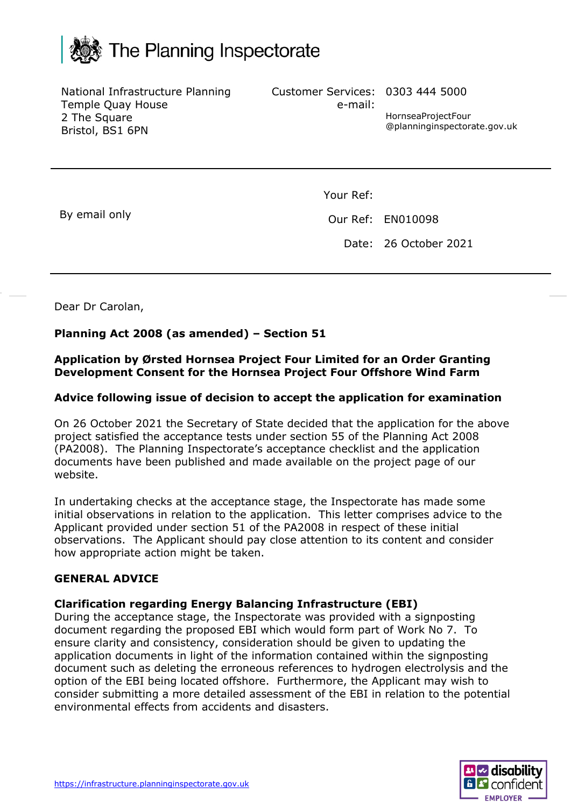

National Infrastructure Planning Temple Quay House 2 The Square Bristol, BS1 6PN

Customer Services: 0303 444 5000

HornseaProjectFour @planninginspectorate.gov.uk

By email only

Your Ref:

e-mail:

Our Ref: EN010098

Date: 26 October 2021

Dear Dr Carolan,

## **Planning Act 2008 (as amended) – Section 51**

### **Application by Ørsted Hornsea Project Four Limited for an Order Granting Development Consent for the Hornsea Project Four Offshore Wind Farm**

### **Advice following issue of decision to accept the application for examination**

On 26 October 2021 the Secretary of State decided that the application for the above project satisfied the acceptance tests under section 55 of the Planning Act 2008 (PA2008). The Planning Inspectorate's acceptance checklist and the application documents have been published and made available on the project page of our website.

In undertaking checks at the acceptance stage, the Inspectorate has made some initial observations in relation to the application. This letter comprises advice to the Applicant provided under section 51 of the PA2008 in respect of these initial observations. The Applicant should pay close attention to its content and consider how appropriate action might be taken.

#### **GENERAL ADVICE**

#### **Clarification regarding Energy Balancing Infrastructure (EBI)**

During the acceptance stage, the Inspectorate was provided with a signposting document regarding the proposed EBI which would form part of Work No 7. To ensure clarity and consistency, consideration should be given to updating the application documents in light of the information contained within the signposting document such as deleting the erroneous references to hydrogen electrolysis and the option of the EBI being located offshore. Furthermore, the Applicant may wish to consider submitting a more detailed assessment of the EBI in relation to the potential environmental effects from accidents and disasters.

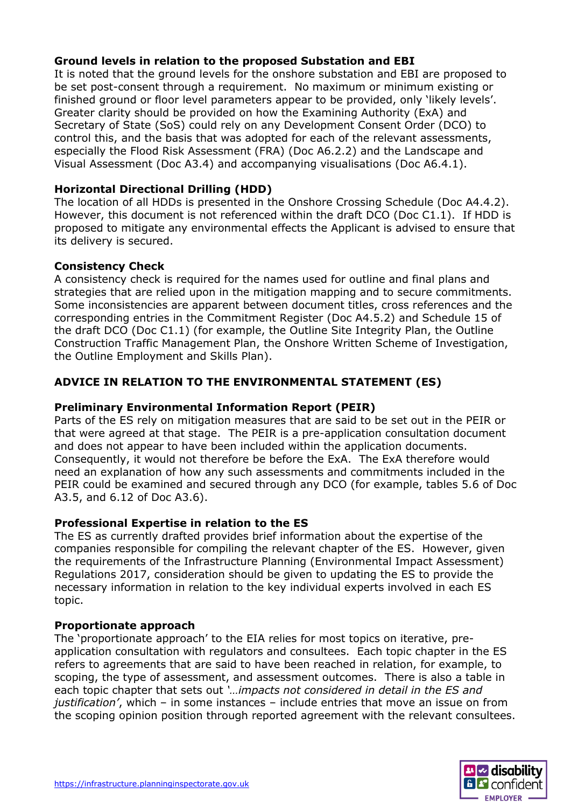# **Ground levels in relation to the proposed Substation and EBI**

It is noted that the ground levels for the onshore substation and EBI are proposed to be set post-consent through a requirement. No maximum or minimum existing or finished ground or floor level parameters appear to be provided, only 'likely levels'. Greater clarity should be provided on how the Examining Authority (ExA) and Secretary of State (SoS) could rely on any Development Consent Order (DCO) to control this, and the basis that was adopted for each of the relevant assessments, especially the Flood Risk Assessment (FRA) (Doc A6.2.2) and the Landscape and Visual Assessment (Doc A3.4) and accompanying visualisations (Doc A6.4.1).

## **Horizontal Directional Drilling (HDD)**

The location of all HDDs is presented in the Onshore Crossing Schedule (Doc A4.4.2). However, this document is not referenced within the draft DCO (Doc C1.1). If HDD is proposed to mitigate any environmental effects the Applicant is advised to ensure that its delivery is secured.

## **Consistency Check**

A consistency check is required for the names used for outline and final plans and strategies that are relied upon in the mitigation mapping and to secure commitments. Some inconsistencies are apparent between document titles, cross references and the corresponding entries in the Commitment Register (Doc A4.5.2) and Schedule 15 of the draft DCO (Doc C1.1) (for example, the Outline Site Integrity Plan, the Outline Construction Traffic Management Plan, the Onshore Written Scheme of Investigation, the Outline Employment and Skills Plan).

# **ADVICE IN RELATION TO THE ENVIRONMENTAL STATEMENT (ES)**

## **Preliminary Environmental Information Report (PEIR)**

Parts of the ES rely on mitigation measures that are said to be set out in the PEIR or that were agreed at that stage. The PEIR is a pre-application consultation document and does not appear to have been included within the application documents. Consequently, it would not therefore be before the ExA. The ExA therefore would need an explanation of how any such assessments and commitments included in the PEIR could be examined and secured through any DCO (for example, tables 5.6 of Doc A3.5, and 6.12 of Doc A3.6).

## **Professional Expertise in relation to the ES**

The ES as currently drafted provides brief information about the expertise of the companies responsible for compiling the relevant chapter of the ES. However, given the requirements of the Infrastructure Planning (Environmental Impact Assessment) Regulations 2017, consideration should be given to updating the ES to provide the necessary information in relation to the key individual experts involved in each ES topic.

## **Proportionate approach**

The 'proportionate approach' to the EIA relies for most topics on iterative, preapplication consultation with regulators and consultees. Each topic chapter in the ES refers to agreements that are said to have been reached in relation, for example, to scoping, the type of assessment, and assessment outcomes. There is also a table in each topic chapter that sets out *'…impacts not considered in detail in the ES and justification'*, which – in some instances – include entries that move an issue on from the scoping opinion position through reported agreement with the relevant consultees.

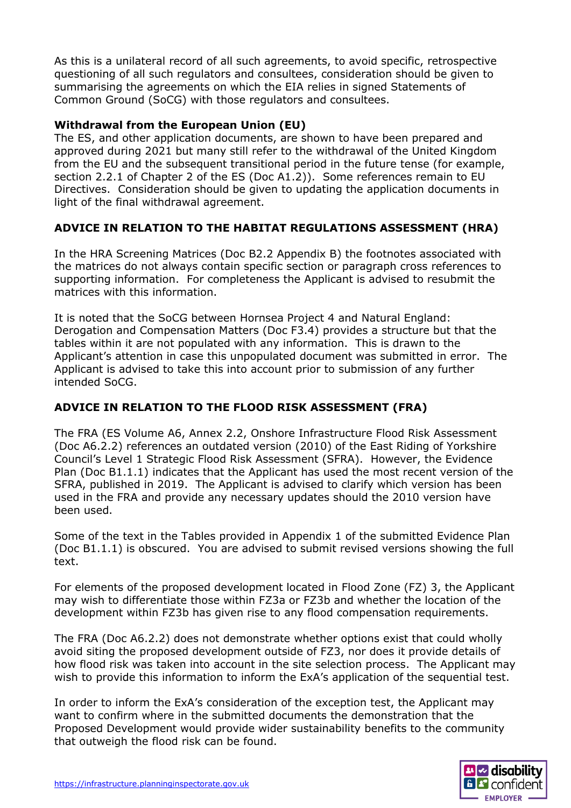As this is a unilateral record of all such agreements, to avoid specific, retrospective questioning of all such regulators and consultees, consideration should be given to summarising the agreements on which the EIA relies in signed Statements of Common Ground (SoCG) with those regulators and consultees.

## **Withdrawal from the European Union (EU)**

The ES, and other application documents, are shown to have been prepared and approved during 2021 but many still refer to the withdrawal of the United Kingdom from the EU and the subsequent transitional period in the future tense (for example, section 2.2.1 of Chapter 2 of the ES (Doc A1.2)). Some references remain to EU Directives. Consideration should be given to updating the application documents in light of the final withdrawal agreement.

# **ADVICE IN RELATION TO THE HABITAT REGULATIONS ASSESSMENT (HRA)**

In the HRA Screening Matrices (Doc B2.2 Appendix B) the footnotes associated with the matrices do not always contain specific section or paragraph cross references to supporting information. For completeness the Applicant is advised to resubmit the matrices with this information.

It is noted that the SoCG between Hornsea Project 4 and Natural England: Derogation and Compensation Matters (Doc F3.4) provides a structure but that the tables within it are not populated with any information. This is drawn to the Applicant's attention in case this unpopulated document was submitted in error. The Applicant is advised to take this into account prior to submission of any further intended SoCG.

# **ADVICE IN RELATION TO THE FLOOD RISK ASSESSMENT (FRA)**

The FRA (ES Volume A6, Annex 2.2, Onshore Infrastructure Flood Risk Assessment (Doc A6.2.2) references an outdated version (2010) of the East Riding of Yorkshire Council's Level 1 Strategic Flood Risk Assessment (SFRA). However, the Evidence Plan (Doc B1.1.1) indicates that the Applicant has used the most recent version of the SFRA, published in 2019. The Applicant is advised to clarify which version has been used in the FRA and provide any necessary updates should the 2010 version have been used.

Some of the text in the Tables provided in Appendix 1 of the submitted Evidence Plan (Doc B1.1.1) is obscured. You are advised to submit revised versions showing the full text.

For elements of the proposed development located in Flood Zone (FZ) 3, the Applicant may wish to differentiate those within FZ3a or FZ3b and whether the location of the development within FZ3b has given rise to any flood compensation requirements.

The FRA (Doc A6.2.2) does not demonstrate whether options exist that could wholly avoid siting the proposed development outside of FZ3, nor does it provide details of how flood risk was taken into account in the site selection process. The Applicant may wish to provide this information to inform the ExA's application of the sequential test.

In order to inform the ExA's consideration of the exception test, the Applicant may want to confirm where in the submitted documents the demonstration that the Proposed Development would provide wider sustainability benefits to the community that outweigh the flood risk can be found.